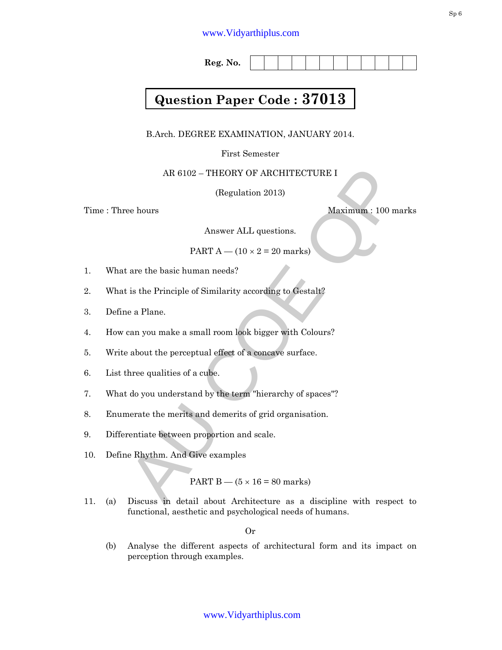## www.Vidyarthiplus.com

**Reg. No.** 

# **Question Paper Code : 37013**

B.Arch. DEGREE EXAMINATION, JANUARY 2014.

First Semester

AR 6102 – THEORY OF ARCHITECTURE I

(Regulation 2013)

Time : Three hours Maximum : 100 marks

Answer ALL questions.

PART  $A - (10 \times 2 = 20$  marks)

- 1. What are the basic human needs?
- 2. What is the Principle of Similarity according to Gestalt?
- 3. Define a Plane.
- 4. How can you make a small room look bigger with Colours?
- 5. Write about the perceptual effect of a concave surface.
- 6. List three qualities of a cube.
- 7. What do you understand by the term "hierarchy of spaces"?
- 8. Enumerate the merits and demerits of grid organisation.
- 9. Differentiate between proportion and scale.
- 10. Define Rhythm. And Give examples

PART  $B - (5 \times 16 = 80 \text{ marks})$ 

AR 6102 – THEORY OF ARCHITECTURE I<br>
(Regulation 2013)<br>
ee hours<br>
Maximum : 100 marks<br>
Answer ALL questions.<br>
PART  $A - (10 \times 2 = 20$  marks)<br>
t are the basic human needs?<br>
t is the Principle of Similarity according to Gestalt 11. (a) Discuss in detail about Architecture as a discipline with respect to functional, aesthetic and psychological needs of humans.

Or

(b) Analyse the different aspects of architectural form and its impact on perception through examples.